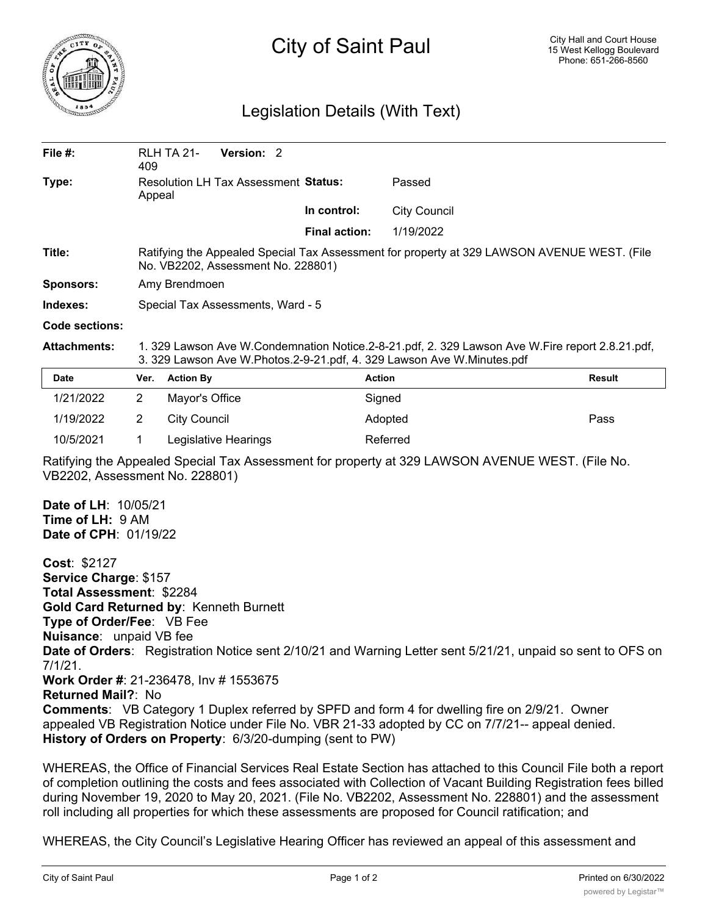

## City of Saint Paul

## Legislation Details (With Text)

| File $#$ :                                                                                                                                  | 409                                                                                                                                                                       | Version: 2<br><b>RLH TA 21-</b>                                                                                                   |                      |                                                                                                            |               |  |
|---------------------------------------------------------------------------------------------------------------------------------------------|---------------------------------------------------------------------------------------------------------------------------------------------------------------------------|-----------------------------------------------------------------------------------------------------------------------------------|----------------------|------------------------------------------------------------------------------------------------------------|---------------|--|
| Type:                                                                                                                                       | Resolution LH Tax Assessment Status:<br>Appeal                                                                                                                            |                                                                                                                                   |                      | Passed                                                                                                     |               |  |
|                                                                                                                                             |                                                                                                                                                                           |                                                                                                                                   | In control:          | <b>City Council</b>                                                                                        |               |  |
|                                                                                                                                             |                                                                                                                                                                           |                                                                                                                                   | <b>Final action:</b> | 1/19/2022                                                                                                  |               |  |
| Title:                                                                                                                                      |                                                                                                                                                                           | Ratifying the Appealed Special Tax Assessment for property at 329 LAWSON AVENUE WEST. (File<br>No. VB2202, Assessment No. 228801) |                      |                                                                                                            |               |  |
| <b>Sponsors:</b>                                                                                                                            | Amy Brendmoen                                                                                                                                                             |                                                                                                                                   |                      |                                                                                                            |               |  |
| Indexes:                                                                                                                                    |                                                                                                                                                                           | Special Tax Assessments, Ward - 5                                                                                                 |                      |                                                                                                            |               |  |
| <b>Code sections:</b>                                                                                                                       |                                                                                                                                                                           |                                                                                                                                   |                      |                                                                                                            |               |  |
| <b>Attachments:</b>                                                                                                                         | 1. 329 Lawson Ave W.Condemnation Notice.2-8-21.pdf, 2. 329 Lawson Ave W.Fire report 2.8.21.pdf,<br>3. 329 Lawson Ave W.Photos.2-9-21.pdf, 4. 329 Lawson Ave W.Minutes.pdf |                                                                                                                                   |                      |                                                                                                            |               |  |
| <b>Date</b>                                                                                                                                 | Ver.                                                                                                                                                                      | <b>Action By</b>                                                                                                                  |                      | <b>Action</b>                                                                                              | <b>Result</b> |  |
| 1/21/2022                                                                                                                                   | $\overline{2}$                                                                                                                                                            | Mayor's Office                                                                                                                    |                      | Signed                                                                                                     |               |  |
| 1/19/2022                                                                                                                                   | 2                                                                                                                                                                         | <b>City Council</b>                                                                                                               |                      | Adopted                                                                                                    | Pass          |  |
| 10/5/2021                                                                                                                                   | 1                                                                                                                                                                         | Legislative Hearings                                                                                                              |                      | Referred                                                                                                   |               |  |
| VB2202, Assessment No. 228801)                                                                                                              |                                                                                                                                                                           |                                                                                                                                   |                      | Ratifying the Appealed Special Tax Assessment for property at 329 LAWSON AVENUE WEST. (File No.            |               |  |
| Date of LH: 10/05/21<br>Time of LH: 9 AM<br>Date of CPH: 01/19/22                                                                           |                                                                                                                                                                           |                                                                                                                                   |                      |                                                                                                            |               |  |
| Cost: \$2127<br>Service Charge: \$157<br>Total Assessment: \$2284<br>Type of Order/Fee: VB Fee<br><b>Nuisance:</b> unpaid VB fee<br>7/1/21. |                                                                                                                                                                           | Gold Card Returned by: Kenneth Burnett<br>Work Order #: 21-236478, Inv # 1553675                                                  |                      | Date of Orders: Registration Notice sent 2/10/21 and Warning Letter sent 5/21/21, unpaid so sent to OFS on |               |  |

**Returned Mail?**: No

**Comments**: VB Category 1 Duplex referred by SPFD and form 4 for dwelling fire on 2/9/21. Owner appealed VB Registration Notice under File No. VBR 21-33 adopted by CC on 7/7/21-- appeal denied. **History of Orders on Property**: 6/3/20-dumping (sent to PW)

WHEREAS, the Office of Financial Services Real Estate Section has attached to this Council File both a report of completion outlining the costs and fees associated with Collection of Vacant Building Registration fees billed during November 19, 2020 to May 20, 2021. (File No. VB2202, Assessment No. 228801) and the assessment roll including all properties for which these assessments are proposed for Council ratification; and

WHEREAS, the City Council's Legislative Hearing Officer has reviewed an appeal of this assessment and